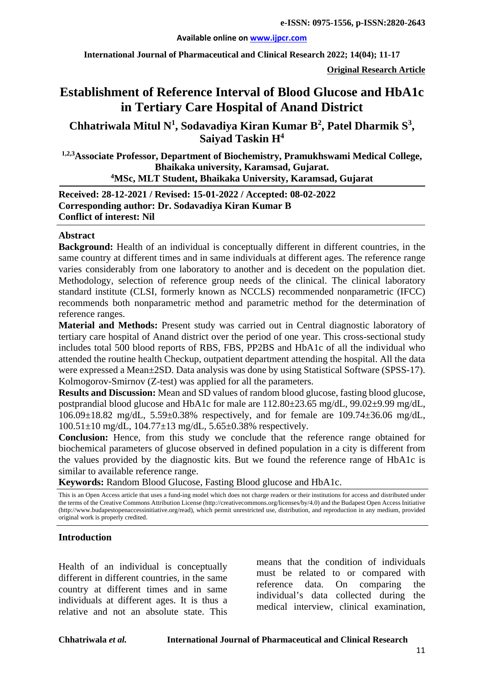#### **Available online on [www.ijpcr.com](http://www.ijpcr.com/)**

**International Journal of Pharmaceutical and Clinical Research 2022; 14(04); 11-17**

**Original Research Article**

# **Establishment of Reference Interval of Blood Glucose and HbA1c in Tertiary Care Hospital of Anand District**

**Chhatriwala Mitul N1 , Sodavadiya Kiran Kumar B2 , Patel Dharmik S<sup>3</sup> , Saiyad Taskin H4**

**1,2,3Associate Professor, Department of Biochemistry, Pramukhswami Medical College, Bhaikaka university, Karamsad, Gujarat. 4 MSc, MLT Student, Bhaikaka University, Karamsad, Gujarat**

**Received: 28-12-2021 / Revised: 15-01-2022 / Accepted: 08-02-2022 Corresponding author: Dr. Sodavadiya Kiran Kumar B Conflict of interest: Nil**

#### **Abstract**

**Background:** Health of an individual is conceptually different in different countries, in the same country at different times and in same individuals at different ages. The reference range varies considerably from one laboratory to another and is decedent on the population diet. Methodology, selection of reference group needs of the clinical. The clinical laboratory standard institute (CLSI, formerly known as NCCLS) recommended nonparametric (IFCC) recommends both nonparametric method and parametric method for the determination of reference ranges.

**Material and Methods:** Present study was carried out in Central diagnostic laboratory of tertiary care hospital of Anand district over the period of one year. This cross-sectional study includes total 500 blood reports of RBS, FBS, PP2BS and HbA1c of all the individual who attended the routine health Checkup, outpatient department attending the hospital. All the data were expressed a Mean±2SD. Data analysis was done by using Statistical Software (SPSS-17). Kolmogorov-Smirnov (Z-test) was applied for all the parameters.

**Results and Discussion:** Mean and SD values of random blood glucose, fasting blood glucose, postprandial blood glucose and HbA1c for male are 112.80±23.65 mg/dL, 99.02±9.99 mg/dL, 106.09±18.82 mg/dL, 5.59±0.38% respectively, and for female are 109.74±36.06 mg/dL, 100.51±10 mg/dL, 104.77±13 mg/dL, 5.65±0.38% respectively.

**Conclusion:** Hence, from this study we conclude that the reference range obtained for biochemical parameters of glucose observed in defined population in a city is different from the values provided by the diagnostic kits. But we found the reference range of HbA1c is similar to available reference range.

**Keywords:** Random Blood Glucose, Fasting Blood glucose and HbA1c.

This is an Open Access article that uses a fund-ing model which does not charge readers or their institutions for access and distributed under the terms of the Creative Commons Attribution License (http://creativecommons.org/licenses/by/4.0) and the Budapest Open Access Initiative (http://www.budapestopenaccessinitiative.org/read), which permit unrestricted use, distribution, and reproduction in any medium, provided original work is properly credited.

#### **Introduction**

Health of an individual is conceptually different in different countries, in the same country at different times and in same individuals at different ages. It is thus a relative and not an absolute state. This

means that the condition of individuals must be related to or compared with reference data. On comparing the individual's data collected during the medical interview, clinical examination,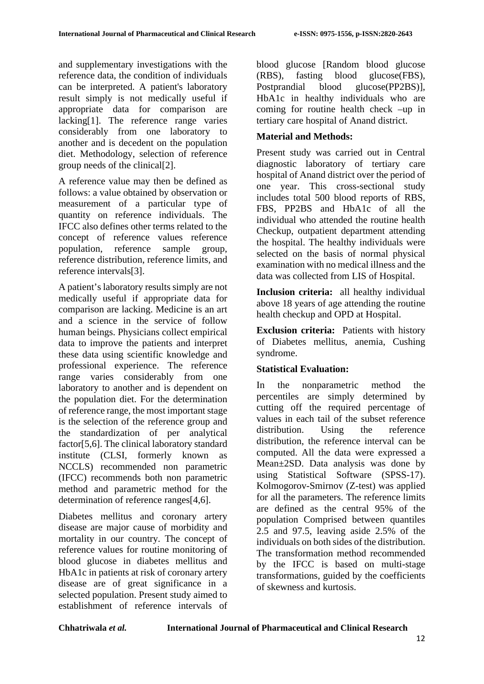and supplementary investigations with the reference data, the condition of individuals can be interpreted. A patient's laboratory result simply is not medically useful if appropriate data for comparison are lacking[1]. The reference range varies considerably from one laboratory to another and is decedent on the population diet. Methodology, selection of reference group needs of the clinical[2].

A reference value may then be defined as follows: a value obtained by observation or measurement of a particular type of quantity on reference individuals. The IFCC also defines other terms related to the concept of reference values reference population, reference sample group, reference distribution, reference limits, and reference intervals[3].

A patient's laboratory results simply are not medically useful if appropriate data for comparison are lacking. Medicine is an art and a science in the service of follow human beings. Physicians collect empirical data to improve the patients and interpret these data using scientific knowledge and professional experience. The reference range varies considerably from one laboratory to another and is dependent on the population diet. For the determination of reference range, the most important stage is the selection of the reference group and the standardization of per analytical factor[5,6]. The clinical laboratory standard institute (CLSI, formerly known as NCCLS) recommended non parametric (IFCC) recommends both non parametric method and parametric method for the determination of reference ranges[4,6].

Diabetes mellitus and coronary artery disease are major cause of morbidity and mortality in our country. The concept of reference values for routine monitoring of blood glucose in diabetes mellitus and HbA1c in patients at risk of coronary artery disease are of great significance in a selected population. Present study aimed to establishment of reference intervals of blood glucose [Random blood glucose (RBS), fasting blood glucose(FBS), Postprandial blood glucose(PP2BS)], HbA1c in healthy individuals who are coming for routine health check –up in tertiary care hospital of Anand district.

# **Material and Methods:**

Present study was carried out in Central diagnostic laboratory of tertiary care hospital of Anand district over the period of one year. This cross-sectional study includes total 500 blood reports of RBS, FBS, PP2BS and HbA1c of all the individual who attended the routine health Checkup, outpatient department attending the hospital. The healthy individuals were selected on the basis of normal physical examination with no medical illness and the data was collected from LIS of Hospital.

**Inclusion criteria:** all healthy individual above 18 years of age attending the routine health checkup and OPD at Hospital.

**Exclusion criteria:** Patients with history of Diabetes mellitus, anemia, Cushing syndrome.

## **Statistical Evaluation:**

In the nonparametric method the percentiles are simply determined by cutting off the required percentage of values in each tail of the subset reference distribution. Using the reference distribution, the reference interval can be computed. All the data were expressed a Mean±2SD. Data analysis was done by using Statistical Software (SPSS-17). Kolmogorov-Smirnov (Z-test) was applied for all the parameters. The reference limits are defined as the central 95% of the population Comprised between quantiles 2.5 and 97.5, leaving aside 2.5% of the individuals on both sides of the distribution. The transformation method recommended by the IFCC is based on multi-stage transformations, guided by the coefficients of skewness and kurtosis.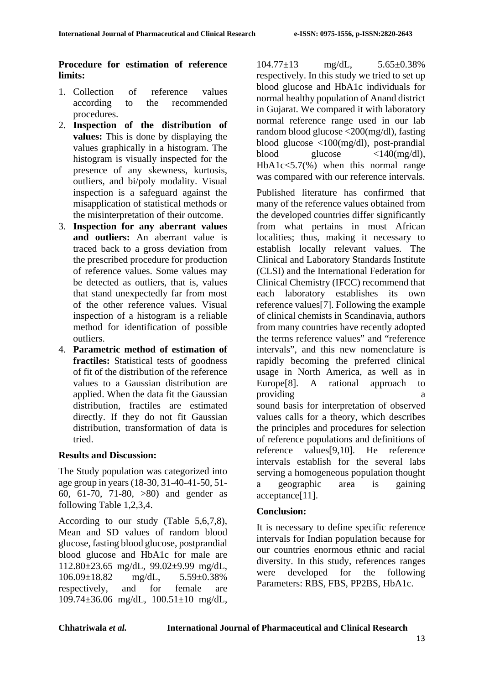## **Procedure for estimation of reference limits:**

- 1. Collection of reference values according to the recommended procedures.
- 2. **Inspection of the distribution of values:** This is done by displaying the values graphically in a histogram. The histogram is visually inspected for the presence of any skewness, kurtosis, outliers, and bi/poly modality. Visual inspection is a safeguard against the misapplication of statistical methods or the misinterpretation of their outcome.
- 3. **Inspection for any aberrant values and outliers:** An aberrant value is traced back to a gross deviation from the prescribed procedure for production of reference values. Some values may be detected as outliers, that is, values that stand unexpectedly far from most of the other reference values. Visual inspection of a histogram is a reliable method for identification of possible outliers.
- 4. **Parametric method of estimation of fractiles:** Statistical tests of goodness of fit of the distribution of the reference values to a Gaussian distribution are applied. When the data fit the Gaussian distribution, fractiles are estimated directly. If they do not fit Gaussian distribution, transformation of data is tried.

## **Results and Discussion:**

The Study population was categorized into age group in years (18-30, 31-40-41-50, 51- 60, 61-70, 71-80, >80) and gender as following Table 1,2,3,4.

According to our study (Table 5,6,7,8), Mean and SD values of random blood glucose, fasting blood glucose, postprandial blood glucose and HbA1c for male are 112.80±23.65 mg/dL, 99.02±9.99 mg/dL, 106.09±18.82 mg/dL, 5.59±0.38% respectively, and for female are 109.74±36.06 mg/dL, 100.51±10 mg/dL,

 $104.77 \pm 13$  mg/dL,  $5.65 \pm 0.38\%$ respectively. In this study we tried to set up blood glucose and HbA1c individuals for normal healthy population of Anand district in Gujarat. We compared it with laboratory normal reference range used in our lab random blood glucose <200(mg/dl), fasting blood glucose <100(mg/dl), post-prandial blood glucose  $\langle 140 \text{ (mg/dl)} \rangle$ ,  $HbA1c<5.7(\%)$  when this normal range was compared with our reference intervals.

Published literature has confirmed that many of the reference values obtained from the developed countries differ significantly from what pertains in most African localities; thus, making it necessary to establish locally relevant values. The Clinical and Laboratory Standards Institute (CLSI) and the International Federation for Clinical Chemistry (IFCC) recommend that each laboratory establishes its own reference values[7]. Following the example of clinical chemists in Scandinavia, authors from many countries have recently adopted the terms reference values" and "reference intervals", and this new nomenclature is rapidly becoming the preferred clinical usage in North America, as well as in Europe[8]. A rational approach to providing a series and a series of  $\alpha$ sound basis for interpretation of observed values calls for a theory, which describes the principles and procedures for selection of reference populations and definitions of reference values[9,10]. He reference intervals establish for the several labs serving a homogeneous population thought a geographic area is gaining acceptance[11].

## **Conclusion:**

It is necessary to define specific reference intervals for Indian population because for our countries enormous ethnic and racial diversity. In this study, references ranges were developed for the following Parameters: RBS, FBS, PP2BS, HbA1c.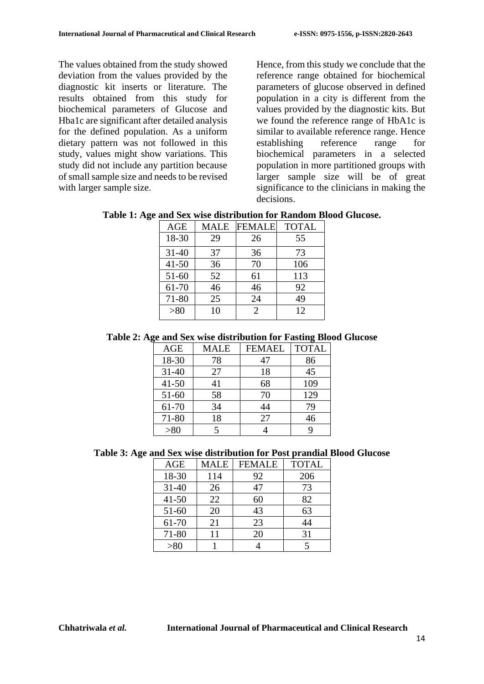The values obtained from the study showed deviation from the values provided by the diagnostic kit inserts or literature. The results obtained from this study for biochemical parameters of Glucose and Hba1c are significant after detailed analysis for the defined population. As a uniform dietary pattern was not followed in this study, values might show variations. This study did not include any partition because of small sample size and needs to be revised with larger sample size.

Hence, from this study we conclude that the reference range obtained for biochemical parameters of glucose observed in defined population in a city is different from the values provided by the diagnostic kits. But we found the reference range of HbA1c is similar to available reference range. Hence establishing reference range for biochemical parameters in a selected population in more partitioned groups with larger sample size will be of great significance to the clinicians in making the decisions.

**Table 1: Age and Sex wise distribution for Random Blood Glucose.**

| AGE       | <b>MALE</b> | <b>FEMALE</b>  | <b>TOTAL</b> |
|-----------|-------------|----------------|--------------|
| 18-30     | 29          | 26             | 55           |
| $31 - 40$ | 37          | 36             | 73           |
| $41 - 50$ | 36          | 70             | 106          |
| $51 - 60$ | 52          | 61             | 113          |
| 61-70     | 46          | 46             | 92           |
| 71-80     | 25          | 24             | 49           |
| > 80      | 10          | $\overline{2}$ | 12           |

#### **Table 2: Age and Sex wise distribution for Fasting Blood Glucose**

| AGE       | MALE | <b>FEMAEL</b> | <b>TOTAL</b> |
|-----------|------|---------------|--------------|
| 18-30     | 78   | 47            | 86           |
| $31 - 40$ | 27   | 18            | 45           |
| $41 - 50$ | 41   | 68            | 109          |
| $51 - 60$ | 58   | 70            | 129          |
| 61-70     | 34   | 44            | 79           |
| $71 - 80$ | 18   | 27            | 46           |
| >80       |      |               | q            |

#### **Table 3: Age and Sex wise distribution for Post prandial Blood Glucose**

| <b>AGE</b> | <b>MALE</b> | <b>FEMALE</b> | <b>TOTAL</b> |
|------------|-------------|---------------|--------------|
| 18-30      | 114         | 92            | 206          |
| $31 - 40$  | 26          | 47            | 73           |
| $41 - 50$  | 22          | 60            | 82           |
| $51 - 60$  | 20          | 43            | 63           |
| 61-70      | 21          | 23            | 44           |
| $71 - 80$  | 11          | 20            | 31           |
| > 80       |             |               |              |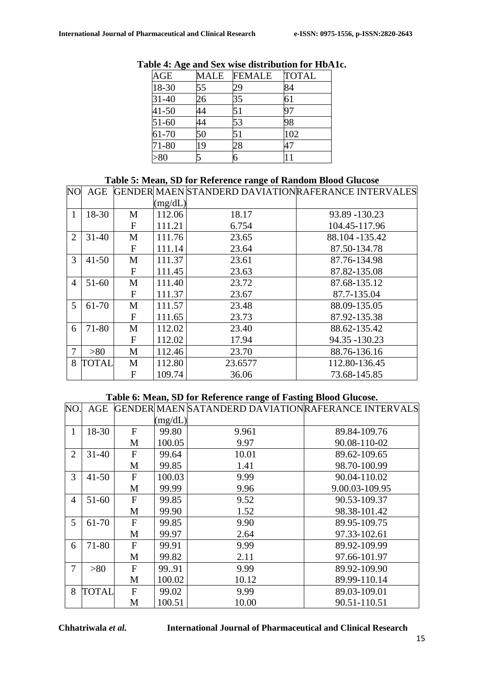| AGE       | MALE | <b>FEMALE</b> | <b>TOTAL</b> |
|-----------|------|---------------|--------------|
| 18-30     | 55   | 29            | 84           |
| 31-40     | 26   | 35            | 61           |
| $41 - 50$ | 44   | 51            |              |
| $51-60$   | 44   | 53            | 98           |
| 61-70     | 50   | 51            | 102          |
| 71-80     | 19   | 28            |              |
| $-80$     |      |               |              |

# **Table 4: Age and Sex wise distribution for HbA1c.**

#### **Table 5: Mean, SD for Reference range of Random Blood Glucose**

| N <sub>O</sub> | AGE       |              |         |         | GENDER MAEN STANDERD DAVIATION RAFERANCE INTERVALES |
|----------------|-----------|--------------|---------|---------|-----------------------------------------------------|
|                |           |              | (mg/dL) |         |                                                     |
| 1              | 18-30     | M            | 112.06  | 18.17   | 93.89 - 130.23                                      |
|                |           | $\mathbf{F}$ | 111.21  | 6.754   | 104.45-117.96                                       |
| $\overline{2}$ | $31 - 40$ | M            | 111.76  | 23.65   | 88.104 -135.42                                      |
|                |           | $\mathbf{F}$ | 111.14  | 23.64   | 87.50-134.78                                        |
| 3              | $41 - 50$ | M            | 111.37  | 23.61   | 87.76-134.98                                        |
|                |           | $\mathbf{F}$ | 111.45  | 23.63   | 87.82-135.08                                        |
| $\overline{4}$ | $51 - 60$ | M            | 111.40  | 23.72   | 87.68-135.12                                        |
|                |           | $\mathbf{F}$ | 111.37  | 23.67   | 87.7-135.04                                         |
| 5              | 61-70     | M            | 111.57  | 23.48   | 88.09-135.05                                        |
|                |           | $\mathbf F$  | 111.65  | 23.73   | 87.92-135.38                                        |
| 6              | 71-80     | M            | 112.02  | 23.40   | 88.62-135.42                                        |
|                |           | $\mathbf{F}$ | 112.02  | 17.94   | 94.35 - 130.23                                      |
| 7              | >80       | M            | 112.46  | 23.70   | 88.76-136.16                                        |
| 8              | TOTAL     | M            | 112.80  | 23.6577 | 112.80-136.45                                       |
|                |           | $\mathbf{F}$ | 109.74  | 36.06   | 73.68-145.85                                        |

## **Table 6: Mean, SD for Reference range of Fasting Blood Glucose.**

| NO.            | AGE       |              |         | GENDER MAEN SATANDERD DAVIATION RAFERANCE INTERVALS |                |
|----------------|-----------|--------------|---------|-----------------------------------------------------|----------------|
|                |           |              | (mg/dL) |                                                     |                |
| 1              | 18-30     | $\mathbf{F}$ | 99.80   | 9.961                                               | 89.84-109.76   |
|                |           | M            | 100.05  | 9.97                                                | 90.08-110-02   |
| $\overline{2}$ | $31 - 40$ | $\mathbf{F}$ | 99.64   | 10.01                                               | 89.62-109.65   |
|                |           | M            | 99.85   | 1.41                                                | 98.70-100.99   |
| 3              | $41 - 50$ | $\mathbf{F}$ | 100.03  | 9.99                                                | 90.04-110.02   |
|                |           | M            | 99.99   | 9.96                                                | 9.00.03-109.95 |
| $\overline{A}$ | $51 - 60$ | $\mathbf{F}$ | 99.85   | 9.52                                                | 90.53-109.37   |
|                |           | M            | 99.90   | 1.52                                                | 98.38-101.42   |
| 5              | 61-70     | F            | 99.85   | 9.90                                                | 89.95-109.75   |
|                |           | M            | 99.97   | 2.64                                                | 97.33-102.61   |
| 6              | 71-80     | $\mathbf{F}$ | 99.91   | 9.99                                                | 89.92-109.99   |
|                |           | M            | 99.82   | 2.11                                                | 97.66-101.97   |
| 7              | > 80      | $\mathbf{F}$ | 99.91   | 9.99                                                | 89.92-109.90   |
|                |           | M            | 100.02  | 10.12                                               | 89.99-110.14   |
| 8              | TOTAL     | $\mathbf{F}$ | 99.02   | 9.99                                                | 89.03-109.01   |
|                |           | M            | 100.51  | 10.00                                               | 90.51-110.51   |

**Chhatriwala** *et al.* **International Journal of Pharmaceutical and Clinical Research**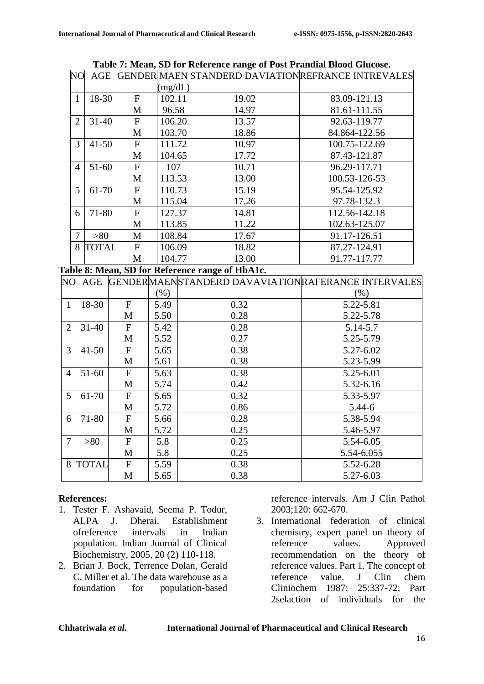| NO             | <b>AGE</b>   |              |         |       | GENDER MAEN STANDERD DAVIATIONREFRANCE INTREVALES |
|----------------|--------------|--------------|---------|-------|---------------------------------------------------|
|                |              |              | (mg/dL) |       |                                                   |
| 1              | 18-30        | $\mathbf{F}$ | 102.11  | 19.02 | 83.09-121.13                                      |
|                |              | M            | 96.58   | 14.97 | 81.61-111.55                                      |
| $\overline{2}$ | $31 - 40$    | $\mathbf{F}$ | 106.20  | 13.57 | 92.63-119.77                                      |
|                |              | M            | 103.70  | 18.86 | 84.864-122.56                                     |
| 3              | $41 - 50$    | F            | 111.72  | 10.97 | 100.75-122.69                                     |
|                |              | M            | 104.65  | 17.72 | 87.43-121.87                                      |
| 4              | $51 - 60$    | F            | 107     | 10.71 | 96.29-117.71                                      |
|                |              | M            | 113.53  | 13.00 | 100.53-126-53                                     |
| 5              | 61-70        | $\mathbf{F}$ | 110.73  | 15.19 | 95.54-125.92                                      |
|                |              | M            | 115.04  | 17.26 | 97.78-132.3                                       |
| 6              | 71-80        | F            | 127.37  | 14.81 | 112.56-142.18                                     |
|                |              | M            | 113.85  | 11.22 | 102.63-125.07                                     |
| 7              | >80          | M            | 108.84  | 17.67 | 91.17-126.51                                      |
| 8              | <b>TOTAL</b> | F            | 106.09  | 18.82 | 87.27-124.91                                      |
|                |              | M            | 104.77  | 13.00 | 91.77-117.77                                      |

**Table 7: Mean, SD for Reference range of Post Prandial Blood Glucose.**

**Table 8: Mean, SD for Reference range of HbA1c.** 

| N <sub>O</sub> | AGE          |              |         | GENDERMAENSTANDERD DAVAVIATIONRAFERANCE INTERVALES |            |
|----------------|--------------|--------------|---------|----------------------------------------------------|------------|
|                |              |              | $(\% )$ |                                                    | $(\%)$     |
| 1              | 18-30        | $\mathbf{F}$ | 5.49    | 0.32                                               | 5.22-5.81  |
|                |              | M            | 5.50    | 0.28                                               | 5.22-5.78  |
| $\overline{2}$ | $31 - 40$    | $\mathbf{F}$ | 5.42    | 0.28                                               | 5.14-5.7   |
|                |              | M            | 5.52    | 0.27                                               | 5.25-5.79  |
| 3              | $41 - 50$    | $\mathbf{F}$ | 5.65    | 0.38                                               | 5.27-6.02  |
|                |              | M            | 5.61    | 0.38                                               | 5.23-5.99  |
| $\overline{4}$ | $51-60$      | $\mathbf{F}$ | 5.63    | 0.38                                               | 5.25-6.01  |
|                |              | M            | 5.74    | 0.42                                               | 5.32-6.16  |
| 5              | 61-70        | $\mathbf{F}$ | 5.65    | 0.32                                               | 5.33-5.97  |
|                |              | M            | 5.72    | 0.86                                               | $5.44 - 6$ |
| 6              | 71-80        | $\mathbf{F}$ | 5.66    | 0.28                                               | 5.38-5.94  |
|                |              | M            | 5.72    | 0.25                                               | 5.46-5.97  |
| 7              | > 80         | $\mathbf{F}$ | 5.8     | 0.25                                               | 5.54-6.05  |
|                |              | M            | 5.8     | 0.25                                               | 5.54-6.055 |
| 8              | <b>TOTAL</b> | $\mathbf{F}$ | 5.59    | 0.38                                               | 5.52-6.28  |
|                |              | M            | 5.65    | 0.38                                               | 5.27-6.03  |

#### **References:**

- 1. Tester F. Ashavaid, Seema P. Todur, ALPA J. Dherai. Establishment ofreference intervals in Indian population. Indian Journal of Clinical Biochemistry, 2005, 20 (2) 110-118.
- 2. Brian J. Bock, Terrence Dolan, Gerald C. Miller et al. The data warehouse as a foundation for population-based

reference intervals. Am J Clin Pathol 2003;120: 662-670.

3. International federation of clinical chemistry, expert panel on theory of reference values. Approved recommendation on the theory of reference values. Part 1. The concept of reference value. J Clin chem Cliniochem 1987; 25:337-72; Part 2selaction of individuals for the